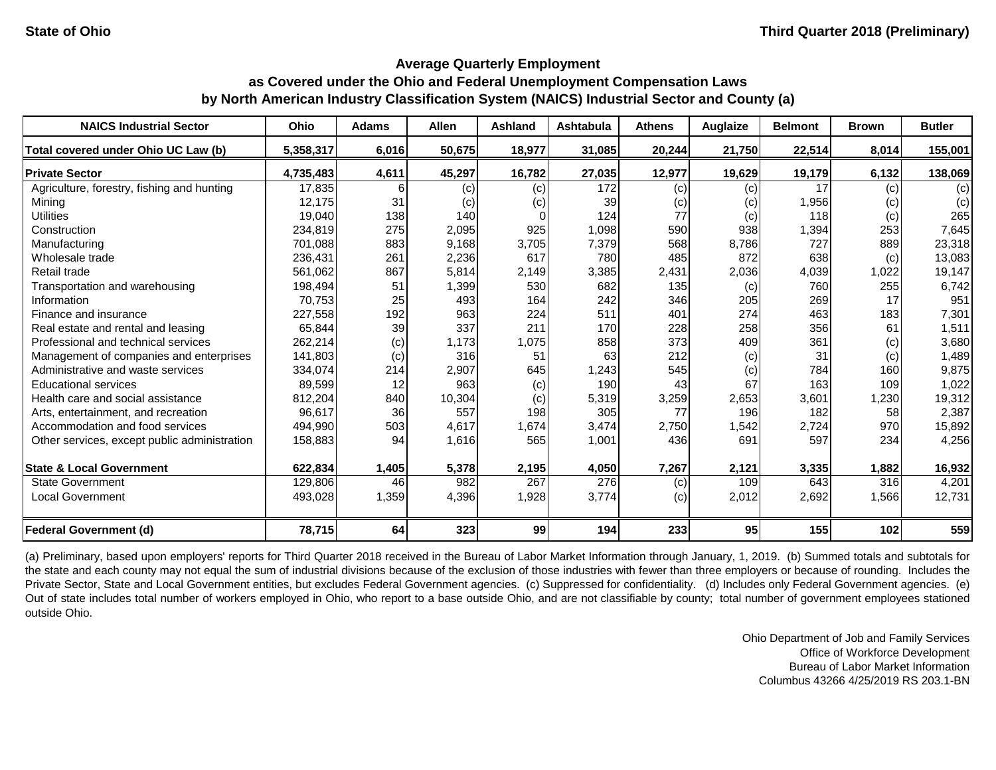#### **Average Quarterly Employment**

# **as Covered under the Ohio and Federal Unemployment Compensation Laws by North American Industry Classification System (NAICS) Industrial Sector and County (a)**

| <b>NAICS Industrial Sector</b>               | Ohio      | <b>Adams</b> | <b>Allen</b> | <b>Ashland</b> | <b>Ashtabula</b> | <b>Athens</b> | Auglaize | <b>Belmont</b> | <b>Brown</b> | <b>Butler</b> |
|----------------------------------------------|-----------|--------------|--------------|----------------|------------------|---------------|----------|----------------|--------------|---------------|
| Total covered under Ohio UC Law (b)          | 5,358,317 | 6,016        | 50,675       | 18,977         | 31,085           | 20,244        | 21,750   | 22,514         | 8,014        | 155,001       |
| <b>Private Sector</b>                        | 4,735,483 | 4,611        | 45,297       | 16,782         | 27,035           | 12,977        | 19,629   | 19,179         | 6,132        | 138,069       |
| Agriculture, forestry, fishing and hunting   | 17,835    |              | (c)          | (c)            | 172              | (c)           | (c)      | 17             | (c)          | (c)           |
| Mining                                       | 12,175    | 31           | (c)          | (c)            | 39               | (c)           | (c)      | 1,956          | (c)          | (c)           |
| <b>Utilities</b>                             | 19,040    | 138          | 140          |                | 124              | 77            | (c)      | 118            | (c)          | 265           |
| Construction                                 | 234,819   | 275          | 2,095        | 925            | 1,098            | 590           | 938      | 1,394          | 253          | 7,645         |
| Manufacturing                                | 701,088   | 883          | 9,168        | 3,705          | 7,379            | 568           | 8,786    | 727            | 889          | 23,318        |
| Wholesale trade                              | 236,431   | 261          | 2,236        | 617            | 780              | 485           | 872      | 638            | (c)          | 13,083        |
| Retail trade                                 | 561,062   | 867          | 5,814        | 2,149          | 3,385            | 2,431         | 2,036    | 4,039          | 1,022        | 19,147        |
| Transportation and warehousing               | 198,494   | 51           | 1,399        | 530            | 682              | 135           | (c)      | 760            | 255          | 6,742         |
| Information                                  | 70,753    | 25           | 493          | 164            | 242              | 346           | 205      | 269            | 17           | 951           |
| Finance and insurance                        | 227,558   | 192          | 963          | 224            | 511              | 401           | 274      | 463            | 183          | 7,301         |
| Real estate and rental and leasing           | 65,844    | 39           | 337          | 211            | 170              | 228           | 258      | 356            | 61           | 1,511         |
| Professional and technical services          | 262,214   | (c)          | 1,173        | 1,075          | 858              | 373           | 409      | 361            | (c)          | 3,680         |
| Management of companies and enterprises      | 141,803   | (c)          | 316          | 51             | 63               | 212           | (c)      | 31             | (c)          | 1,489         |
| Administrative and waste services            | 334,074   | 214          | 2,907        | 645            | 1,243            | 545           | (c)      | 784            | 160          | 9,875         |
| <b>Educational services</b>                  | 89,599    | 12           | 963          | (c)            | 190              | 43            | 67       | 163            | 109          | 1,022         |
| Health care and social assistance            | 812,204   | 840          | 10,304       | (c)            | 5,319            | 3,259         | 2,653    | 3,601          | 1,230        | 19,312        |
| Arts, entertainment, and recreation          | 96,617    | 36           | 557          | 198            | 305              | 77            | 196      | 182            | 58           | 2,387         |
| Accommodation and food services              | 494,990   | 503          | 4,617        | 1,674          | 3,474            | 2,750         | 1,542    | 2,724          | 970          | 15,892        |
| Other services, except public administration | 158,883   | 94           | 1,616        | 565            | 1,001            | 436           | 691      | 597            | 234          | 4,256         |
| <b>State &amp; Local Government</b>          | 622,834   | 1,405        | 5,378        | 2,195          | 4,050            | 7,267         | 2,121    | 3,335          | 1,882        | 16,932        |
| <b>State Government</b>                      | 129,806   | 46           | 982          | 267            | 276              | (c)           | 109      | 643            | 316          | 4,201         |
| <b>Local Government</b>                      | 493,028   | 1,359        | 4,396        | 1,928          | 3,774            | (c)           | 2,012    | 2,692          | 1,566        | 12,731        |
| <b>Federal Government (d)</b>                | 78,715    | 64           | 323          | 99             | 194              | 233           | 95       | 155            | 102          | 559           |

(a) Preliminary, based upon employers' reports for Third Quarter 2018 received in the Bureau of Labor Market Information through January, 1, 2019. (b) Summed totals and subtotals for the state and each county may not equal the sum of industrial divisions because of the exclusion of those industries with fewer than three employers or because of rounding. Includes the Private Sector, State and Local Government entities, but excludes Federal Government agencies. (c) Suppressed for confidentiality. (d) Includes only Federal Government agencies. (e) Out of state includes total number of workers employed in Ohio, who report to a base outside Ohio, and are not classifiable by county; total number of government employees stationed outside Ohio.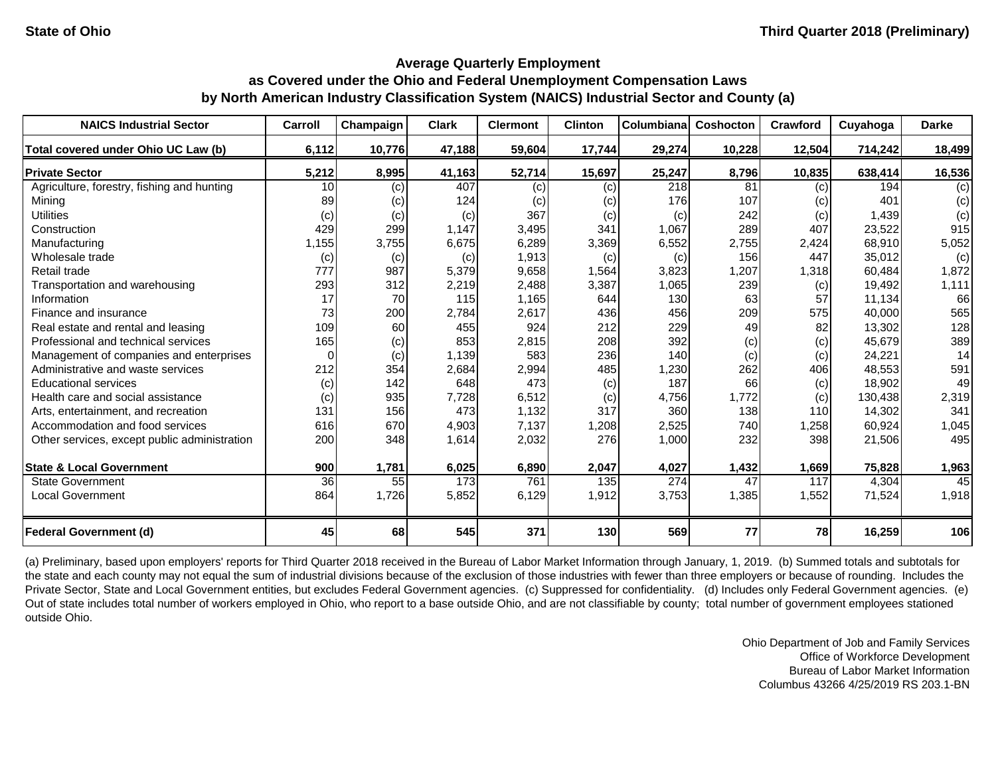| <b>NAICS Industrial Sector</b>               | Carroll  | Champaign | <b>Clark</b> | <b>Clermont</b> | <b>Clinton</b> | Columbiana | Coshocton | Crawford | Cuyahoga | <b>Darke</b> |
|----------------------------------------------|----------|-----------|--------------|-----------------|----------------|------------|-----------|----------|----------|--------------|
| Total covered under Ohio UC Law (b)          | 6,112    | 10,776    | 47,188       | 59,604          | 17,744         | 29,274     | 10,228    | 12,504   | 714,242  | 18,499       |
| <b>Private Sector</b>                        | 5,212    | 8,995     | 41,163       | 52,714          | 15,697         | 25,247     | 8,796     | 10,835   | 638,414  | 16,536       |
| Agriculture, forestry, fishing and hunting   | 10       | (c)       | 407          | (c)             | (c)            | 218        | 81        | (c)      | 194      | (c)          |
| Mining                                       | 89       | (c)       | 124          | (c)             | (c)            | 176        | 107       | (c)      | 401      | (c)          |
| <b>Utilities</b>                             | (c)      | (c)       | (c)          | 367             | (c)            | (c)        | 242       | (c)      | 1,439    | (c)          |
| Construction                                 | 429      | 299       | 1,147        | 3,495           | 341            | 1,067      | 289       | 407      | 23,522   | 915          |
| Manufacturing                                | 1,155    | 3,755     | 6,675        | 6,289           | 3,369          | 6,552      | 2,755     | 2,424    | 68,910   | 5,052        |
| Wholesale trade                              | (c)      | (c)       | (c)          | 1,913           | (c)            | (c)        | 156       | 447      | 35,012   | (c)          |
| Retail trade                                 | 777      | 987       | 5,379        | 9,658           | 1,564          | 3,823      | 1,207     | 1,318    | 60,484   | 1,872        |
| Transportation and warehousing               | 293      | 312       | 2,219        | 2,488           | 3,387          | 1,065      | 239       | (c)      | 19,492   | 1,111        |
| Information                                  | 17       | 70        | 115          | 1,165           | 644            | 130        | 63        | 57       | 11,134   | 66           |
| Finance and insurance                        | 73       | 200       | 2,784        | 2,617           | 436            | 456        | 209       | 575      | 40,000   | 565          |
| Real estate and rental and leasing           | 109      | 60        | 455          | 924             | 212            | 229        | 49        | 82       | 13,302   | 128          |
| Professional and technical services          | 165      | (c)       | 853          | 2,815           | 208            | 392        | (c)       | (c)      | 45,679   | 389          |
| Management of companies and enterprises      | $\Omega$ | (c)       | 1,139        | 583             | 236            | 140        | (c)       | (c)      | 24,221   | 14           |
| Administrative and waste services            | 212      | 354       | 2,684        | 2,994           | 485            | 1,230      | 262       | 406      | 48,553   | 591          |
| <b>Educational services</b>                  | (c)      | 142       | 648          | 473             | (c)            | 187        | 66        | (c)      | 18,902   | 49           |
| Health care and social assistance            | (c)      | 935       | 7,728        | 6,512           | (c)            | 4,756      | 1,772     | (c)      | 130,438  | 2,319        |
| Arts, entertainment, and recreation          | 131      | 156       | 473          | 1,132           | 317            | 360        | 138       | 110      | 14,302   | 341          |
| Accommodation and food services              | 616      | 670       | 4,903        | 7,137           | 1,208          | 2,525      | 740       | 1,258    | 60,924   | 1,045        |
| Other services, except public administration | 200      | 348       | 1,614        | 2,032           | 276            | 1,000      | 232       | 398      | 21,506   | 495          |
| <b>State &amp; Local Government</b>          | 900      | 1,781     | 6,025        | 6,890           | 2,047          | 4,027      | 1,432     | 1,669    | 75,828   | 1,963        |
| <b>State Government</b>                      | 36       | 55        | 173          | 761             | 135            | 274        | 47        | 117      | 4,304    | 45           |
| <b>Local Government</b>                      | 864      | 1,726     | 5,852        | 6,129           | 1,912          | 3,753      | 1,385     | 1,552    | 71,524   | 1,918        |
| <b>Federal Government (d)</b>                | 45       | 68        | 545          | 371             | 130            | 569        | 77        | 78       | 16,259   | 106          |

(a) Preliminary, based upon employers' reports for Third Quarter 2018 received in the Bureau of Labor Market Information through January, 1, 2019. (b) Summed totals and subtotals for the state and each county may not equal the sum of industrial divisions because of the exclusion of those industries with fewer than three employers or because of rounding. Includes the Private Sector, State and Local Government entities, but excludes Federal Government agencies. (c) Suppressed for confidentiality. (d) Includes only Federal Government agencies. (e) Out of state includes total number of workers employed in Ohio, who report to a base outside Ohio, and are not classifiable by county; total number of government employees stationed outside Ohio.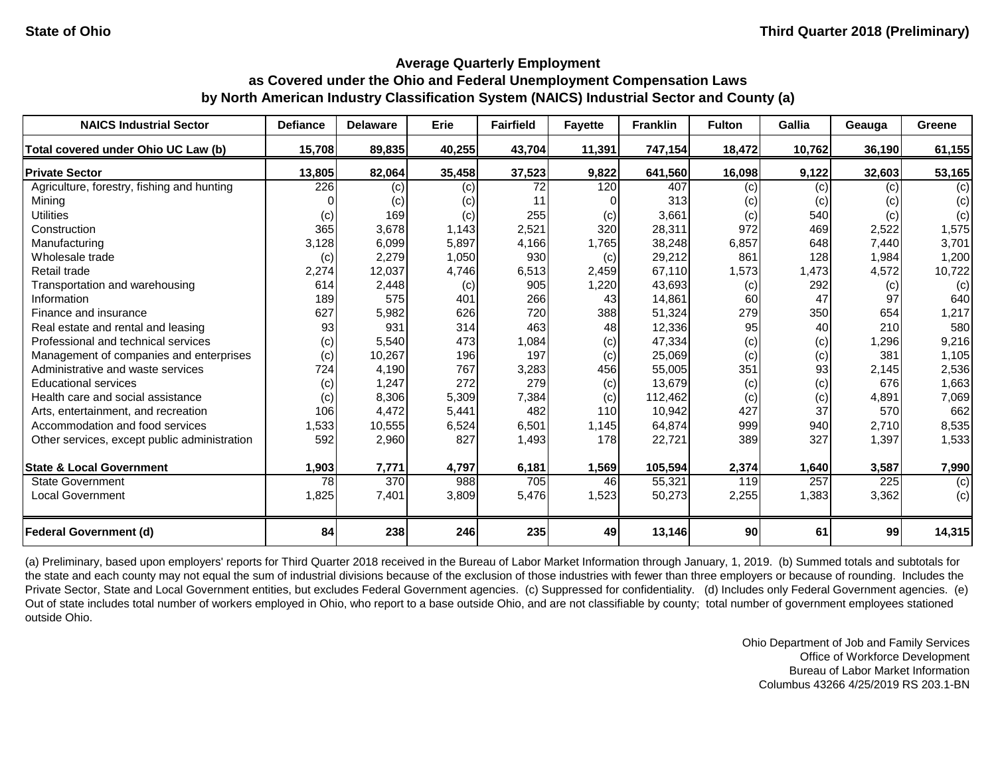| <b>NAICS Industrial Sector</b>               | <b>Defiance</b> | <b>Delaware</b> | Erie   | <b>Fairfield</b> | <b>Fayette</b> | <b>Franklin</b> | <b>Fulton</b> | <b>Gallia</b> | Geauga | <b>Greene</b> |
|----------------------------------------------|-----------------|-----------------|--------|------------------|----------------|-----------------|---------------|---------------|--------|---------------|
| Total covered under Ohio UC Law (b)          | 15,708          | 89,835          | 40,255 | 43,704           | 11,391         | 747,154         | 18,472        | 10,762        | 36,190 | 61,155        |
| <b>Private Sector</b>                        | 13,805          | 82,064          | 35,458 | 37,523           | 9,822          | 641,560         | 16,098        | 9,122         | 32,603 | 53,165        |
| Agriculture, forestry, fishing and hunting   | 226             | (c)             | (c)    | 72               | 120            | 407             | (c)           | (c)           | (c)    | (c)           |
| Mining                                       |                 | (c)             | (c)    | 11               |                | 313             | (c)           | (c)           | (c)    | (c)           |
| <b>Utilities</b>                             | (c)             | 169             | (c)    | 255              | (c)            | 3,661           | (c)           | 540           | (c)    | (c)           |
| Construction                                 | 365             | 3,678           | 1,143  | 2,521            | 320            | 28,311          | 972           | 469           | 2,522  | 1,575         |
| Manufacturing                                | 3,128           | 6,099           | 5,897  | 4,166            | 1,765          | 38,248          | 6,857         | 648           | 7,440  | 3,701         |
| Wholesale trade                              | (c)             | 2,279           | 1,050  | 930              | (c)            | 29,212          | 861           | 128           | 1,984  | 1,200         |
| Retail trade                                 | 2,274           | 12,037          | 4,746  | 6,513            | 2,459          | 67,110          | 1,573         | 1,473         | 4,572  | 10,722        |
| Transportation and warehousing               | 614             | 2,448           | (c)    | 905              | 1,220          | 43,693          | (c)           | 292           | (c)    | (c)           |
| Information                                  | 189             | 575             | 401    | 266              | 43             | 14,861          | 60            | 47            | 97     | 640           |
| Finance and insurance                        | 627             | 5,982           | 626    | 720              | 388            | 51,324          | 279           | 350           | 654    | 1,217         |
| Real estate and rental and leasing           | 93              | 931             | 314    | 463              | 48             | 12,336          | 95            | 40            | 210    | 580           |
| Professional and technical services          | (c)             | 5,540           | 473    | 1,084            | (c)            | 47,334          | (c)           | (c)           | 1,296  | 9,216         |
| Management of companies and enterprises      | (c)             | 10,267          | 196    | 197              | (c)            | 25,069          | (c)           | (c)           | 381    | 1,105         |
| Administrative and waste services            | 724             | 4,190           | 767    | 3,283            | 456            | 55,005          | 351           | 93            | 2,145  | 2,536         |
| <b>Educational services</b>                  | (c)             | 1,247           | 272    | 279              | (c)            | 13,679          | (c)           | (c)           | 676    | 1,663         |
| Health care and social assistance            | (c)             | 8,306           | 5,309  | 7,384            | (c)            | 112,462         | (c)           | (c)           | 4,891  | 7,069         |
| Arts, entertainment, and recreation          | 106             | 4,472           | 5,441  | 482              | 110            | 10,942          | 427           | 37            | 570    | 662           |
| Accommodation and food services              | 1,533           | 10,555          | 6,524  | 6,501            | 1,145          | 64,874          | 999           | 940           | 2,710  | 8,535         |
| Other services, except public administration | 592             | 2,960           | 827    | 1,493            | 178            | 22,721          | 389           | 327           | 1,397  | 1,533         |
| <b>State &amp; Local Government</b>          | 1,903           | 7,771           | 4,797  | 6,181            | 1,569          | 105,594         | 2,374         | 1,640         | 3,587  | 7,990         |
| <b>State Government</b>                      | 78              | 370             | 988    | 705              | 46             | 55,321          | 119           | 257           | 225    | (c)           |
| <b>Local Government</b>                      | 1,825           | 7,401           | 3,809  | 5,476            | 1,523          | 50,273          | 2,255         | 1,383         | 3,362  | (c)           |
| <b>Federal Government (d)</b>                | 84              | 238             | 246    | 235              | 49             | 13,146          | 90            | 61            | 99     | 14,315        |

(a) Preliminary, based upon employers' reports for Third Quarter 2018 received in the Bureau of Labor Market Information through January, 1, 2019. (b) Summed totals and subtotals for the state and each county may not equal the sum of industrial divisions because of the exclusion of those industries with fewer than three employers or because of rounding. Includes the Private Sector, State and Local Government entities, but excludes Federal Government agencies. (c) Suppressed for confidentiality. (d) Includes only Federal Government agencies. (e) Out of state includes total number of workers employed in Ohio, who report to a base outside Ohio, and are not classifiable by county; total number of government employees stationed outside Ohio.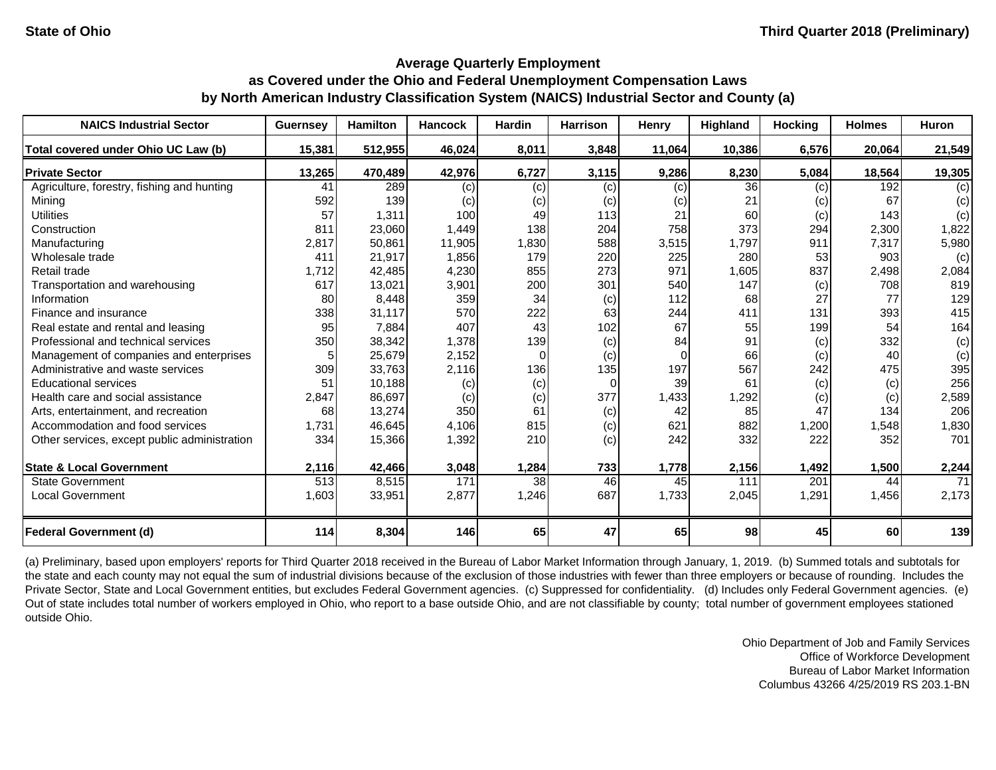| <b>NAICS Industrial Sector</b>               | <b>Guernsey</b> | <b>Hamilton</b> | <b>Hancock</b> | <b>Hardin</b> | <b>Harrison</b> | Henry    | Highland | <b>Hocking</b> | <b>Holmes</b> | Huron  |
|----------------------------------------------|-----------------|-----------------|----------------|---------------|-----------------|----------|----------|----------------|---------------|--------|
| Total covered under Ohio UC Law (b)          | 15,381          | 512,955         | 46,024         | 8,011         | 3,848           | 11,064   | 10,386   | 6,576          | 20,064        | 21,549 |
| <b>Private Sector</b>                        | 13,265          | 470,489         | 42,976         | 6,727         | 3,115           | 9,286    | 8,230    | 5,084          | 18,564        | 19,305 |
| Agriculture, forestry, fishing and hunting   | 41              | 289             | (c)            | (c)           | (c)             | (c)      | 36       | (c)            | 192           | (c)    |
| Mining                                       | 592             | 139             | (c)            | (c)           | (c)             | (c)      | 21       | (c)            | 67            | (c)    |
| <b>Utilities</b>                             | 57              | 1,311           | 100            | 49            | 113             | 21       | 60       | (c)            | 143           | (c)    |
| Construction                                 | 811             | 23,060          | 1,449          | 138           | 204             | 758      | 373      | 294            | 2,300         | 1,822  |
| Manufacturing                                | 2,817           | 50,861          | 11,905         | 1,830         | 588             | 3,515    | 1,797    | 911            | 7,317         | 5,980  |
| Wholesale trade                              | 411             | 21,917          | 1,856          | 179           | 220             | 225      | 280      | 53             | 903           | (c)    |
| Retail trade                                 | 1,712           | 42,485          | 4,230          | 855           | 273             | 971      | 1,605    | 837            | 2,498         | 2,084  |
| Transportation and warehousing               | 617             | 13,021          | 3,901          | 200           | 301             | 540      | 147      | (c)            | 708           | 819    |
| Information                                  | 80              | 8,448           | 359            | 34            | (c)             | 112      | 68       | 27             | 77            | 129    |
| Finance and insurance                        | 338             | 31,117          | 570            | 222           | 63              | 244      | 411      | 131            | 393           | 415    |
| Real estate and rental and leasing           | 95              | 7,884           | 407            | 43            | 102             | 67       | 55       | 199            | 54            | 164    |
| Professional and technical services          | 350             | 38,342          | 1,378          | 139           | (c)             | 84       | 91       | (c)            | 332           | (c)    |
| Management of companies and enterprises      |                 | 25,679          | 2,152          | $\Omega$      | (c)             | $\Omega$ | 66       | (c)            | 40            | (c)    |
| Administrative and waste services            | 309             | 33,763          | 2,116          | 136           | 135             | 197      | 567      | 242            | 475           | 395    |
| <b>Educational services</b>                  | 51              | 10,188          | (c)            | (c)           | $\Omega$        | 39       | 61       | (c)            | (c)           | 256    |
| Health care and social assistance            | 2,847           | 86,697          | (c)            | (c)           | 377             | 1,433    | 1,292    | (c)            | (c)           | 2,589  |
| Arts, entertainment, and recreation          | 68              | 13,274          | 350            | 61            | (c)             | 42       | 85       | 47             | 134           | 206    |
| Accommodation and food services              | 1,731           | 46,645          | 4,106          | 815           | (c)             | 621      | 882      | 1,200          | 1,548         | 1,830  |
| Other services, except public administration | 334             | 15,366          | 1,392          | 210           | (c)             | 242      | 332      | 222            | 352           | 701    |
| <b>State &amp; Local Government</b>          | 2,116           | 42,466          | 3,048          | 1,284         | 733             | 1,778    | 2,156    | 1,492          | 1,500         | 2,244  |
| <b>State Government</b>                      | 513             | 8,515           | 171            | 38            | 46              | 45       | 111      | 201            | 44            | 71     |
| <b>Local Government</b>                      | 1,603           | 33,951          | 2,877          | 1,246         | 687             | 1,733    | 2,045    | 1,291          | 1,456         | 2,173  |
| <b>Federal Government (d)</b>                | 114             | 8,304           | 146            | 65            | 47              | 65       | 98       | 45             | 60            | 139    |

(a) Preliminary, based upon employers' reports for Third Quarter 2018 received in the Bureau of Labor Market Information through January, 1, 2019. (b) Summed totals and subtotals for the state and each county may not equal the sum of industrial divisions because of the exclusion of those industries with fewer than three employers or because of rounding. Includes the Private Sector, State and Local Government entities, but excludes Federal Government agencies. (c) Suppressed for confidentiality. (d) Includes only Federal Government agencies. (e) Out of state includes total number of workers employed in Ohio, who report to a base outside Ohio, and are not classifiable by county; total number of government employees stationed outside Ohio.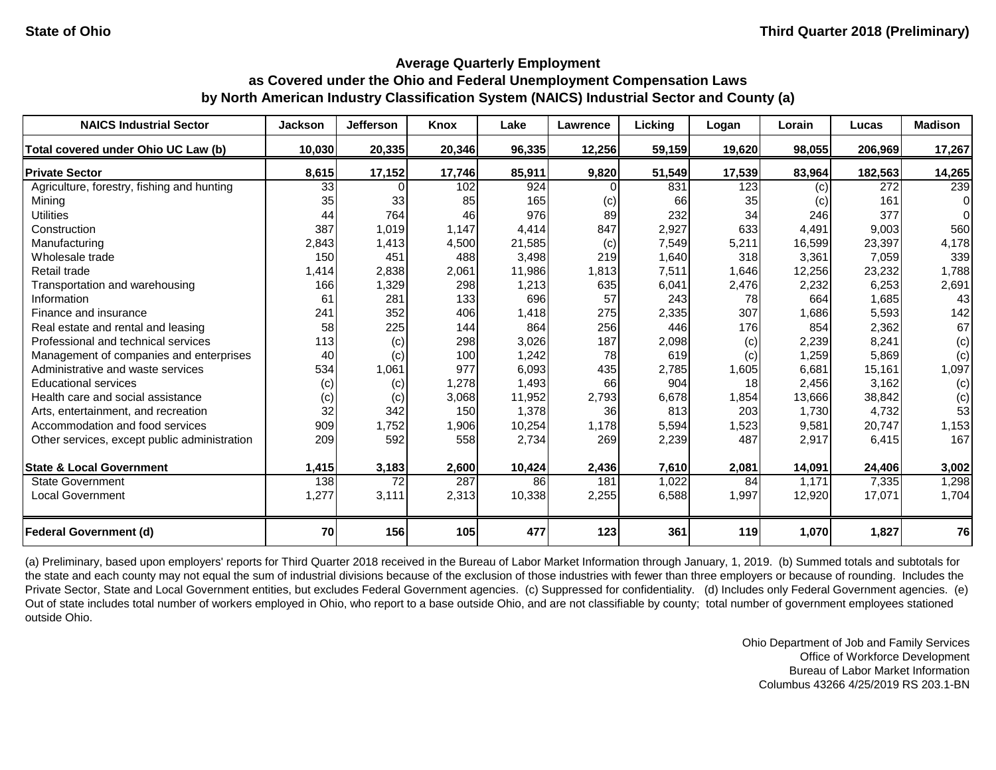| <b>NAICS Industrial Sector</b>               | <b>Jackson</b> | <b>Jefferson</b> | <b>Knox</b> | Lake   | Lawrence | Licking | Logan  | Lorain | Lucas   | <b>Madison</b> |
|----------------------------------------------|----------------|------------------|-------------|--------|----------|---------|--------|--------|---------|----------------|
| Total covered under Ohio UC Law (b)          | 10,030         | 20,335           | 20,346      | 96,335 | 12,256   | 59,159  | 19,620 | 98,055 | 206,969 | 17,267         |
| <b>Private Sector</b>                        | 8,615          | 17,152           | 17,746      | 85,911 | 9,820    | 51,549  | 17,539 | 83,964 | 182,563 | 14,265         |
| Agriculture, forestry, fishing and hunting   | 33             |                  | 102         | 924    |          | 831     | 123    | (c)    | 272     | 239            |
| Mining                                       | 35             | 33               | 85          | 165    | (c)      | 66      | 35     | (c)    | 161     | $\Omega$       |
| <b>Utilities</b>                             | 44             | 764              | 46          | 976    | 89       | 232     | 34     | 246    | 377     | $\Omega$       |
| Construction                                 | 387            | 1,019            | 1,147       | 4,414  | 847      | 2,927   | 633    | 4,491  | 9,003   | 560            |
| Manufacturing                                | 2,843          | 1,413            | 4,500       | 21,585 | (c)      | 7,549   | 5,211  | 16,599 | 23,397  | 4,178          |
| Wholesale trade                              | 150            | 451              | 488         | 3,498  | 219      | 1,640   | 318    | 3,361  | 7,059   | 339            |
| Retail trade                                 | 1,414          | 2,838            | 2,061       | 11,986 | 1,813    | 7,511   | 1,646  | 12,256 | 23,232  | 1,788          |
| Transportation and warehousing               | 166            | 1,329            | 298         | 1,213  | 635      | 6,041   | 2,476  | 2,232  | 6,253   | 2,691          |
| Information                                  | 61             | 281              | 133         | 696    | 57       | 243     | 78     | 664    | 1,685   | 43             |
| Finance and insurance                        | 241            | 352              | 406         | 1,418  | 275      | 2,335   | 307    | 1,686  | 5,593   | 142            |
| Real estate and rental and leasing           | 58             | 225              | 144         | 864    | 256      | 446     | 176    | 854    | 2,362   | 67             |
| Professional and technical services          | 113            | (c)              | 298         | 3,026  | 187      | 2,098   | (c)    | 2,239  | 8,241   | (c)            |
| Management of companies and enterprises      | 40             | (c)              | 100         | 1,242  | 78       | 619     | (c)    | 1,259  | 5,869   | (c)            |
| Administrative and waste services            | 534            | 1,061            | 977         | 6,093  | 435      | 2,785   | 1,605  | 6,681  | 15,161  | 1,097          |
| <b>Educational services</b>                  | (c)            | (c)              | 1,278       | 1,493  | 66       | 904     | 18     | 2,456  | 3,162   | (c)            |
| Health care and social assistance            | (c)            | (c)              | 3,068       | 11,952 | 2,793    | 6,678   | 1,854  | 13,666 | 38,842  | (c)            |
| Arts, entertainment, and recreation          | 32             | 342              | 150         | 1,378  | 36       | 813     | 203    | 1,730  | 4,732   | 53             |
| Accommodation and food services              | 909            | 1,752            | 1,906       | 10,254 | 1,178    | 5,594   | 1,523  | 9,581  | 20,747  | 1,153          |
| Other services, except public administration | 209            | 592              | 558         | 2,734  | 269      | 2,239   | 487    | 2,917  | 6,415   | 167            |
| <b>State &amp; Local Government</b>          | 1,415          | 3,183            | 2,600       | 10,424 | 2,436    | 7,610   | 2,081  | 14,091 | 24,406  | 3,002          |
| <b>State Government</b>                      | 138            | 72               | 287         | 86     | 181      | 1,022   | 84     | 1,171  | 7,335   | 1,298          |
| <b>Local Government</b>                      | 1,277          | 3,111            | 2,313       | 10,338 | 2,255    | 6,588   | 1,997  | 12,920 | 17,071  | 1,704          |
| <b>Federal Government (d)</b>                | 70             | 156              | 105         | 477    | 123      | 361     | 119    | 1,070  | 1,827   | 76             |

(a) Preliminary, based upon employers' reports for Third Quarter 2018 received in the Bureau of Labor Market Information through January, 1, 2019. (b) Summed totals and subtotals for the state and each county may not equal the sum of industrial divisions because of the exclusion of those industries with fewer than three employers or because of rounding. Includes the Private Sector, State and Local Government entities, but excludes Federal Government agencies. (c) Suppressed for confidentiality. (d) Includes only Federal Government agencies. (e) Out of state includes total number of workers employed in Ohio, who report to a base outside Ohio, and are not classifiable by county; total number of government employees stationed outside Ohio.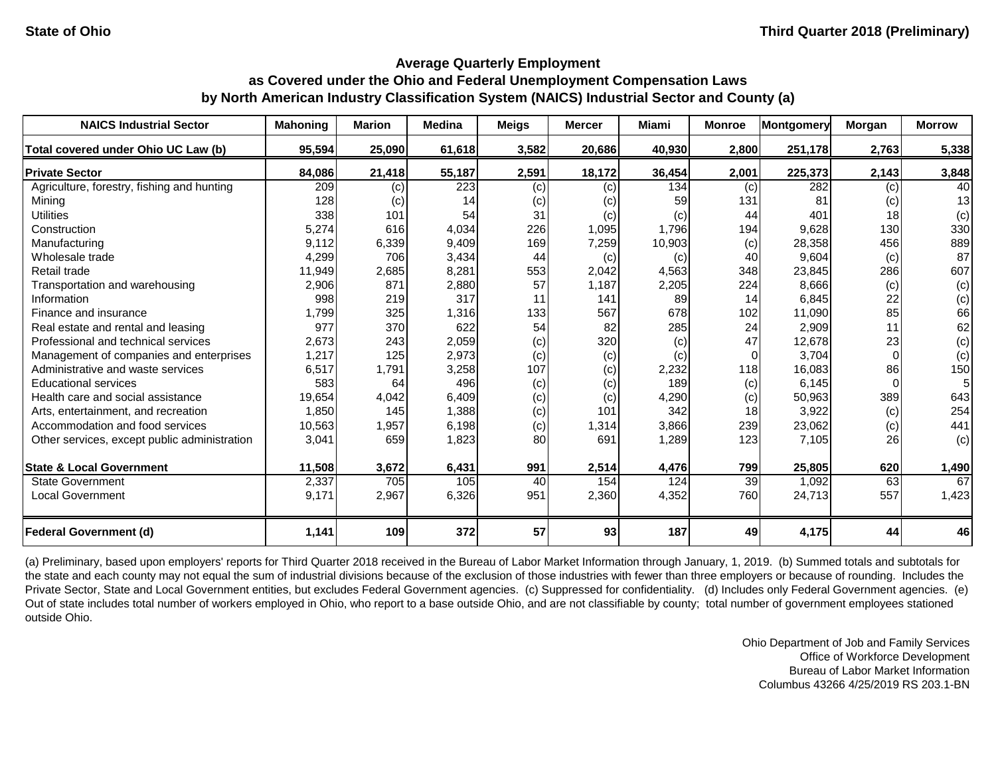| <b>NAICS Industrial Sector</b>               | <b>Mahoning</b> | <b>Marion</b> | <b>Medina</b> | <b>Meigs</b> | <b>Mercer</b> | <b>Miami</b> | <b>Monroe</b> | Montgomery | <b>Morgan</b> | <b>Morrow</b> |
|----------------------------------------------|-----------------|---------------|---------------|--------------|---------------|--------------|---------------|------------|---------------|---------------|
| Total covered under Ohio UC Law (b)          | 95,594          | 25,090        | 61,618        | 3,582        | 20,686        | 40,930       | 2,800         | 251,178    | 2,763         | 5,338         |
| <b>Private Sector</b>                        | 84,086          | 21,418        | 55,187        | 2,591        | 18,172        | 36,454       | 2,001         | 225,373    | 2,143         | 3,848         |
| Agriculture, forestry, fishing and hunting   | 209             | (c)           | 223           | (c)          | (c)           | 134          | (c)           | 282        | (c)           | 40            |
| Mining                                       | 128             | $\left( $     | 14            | (c)          | (c)           | 59           | 131           | 81         | (c)           | 13            |
| <b>Utilities</b>                             | 338             | 101           | 54            | 31           | (c)           | (c)          | 44            | 401        | 18            | (c)           |
| Construction                                 | 5,274           | 616           | 4,034         | 226          | 1,095         | 1,796        | 194           | 9,628      | 130           | 330           |
| Manufacturing                                | 9,112           | 6,339         | 9,409         | 169          | 7,259         | 10,903       | (c)           | 28,358     | 456           | 889           |
| Wholesale trade                              | 4,299           | 706           | 3,434         | 44           | (c)           | (c)          | 40            | 9,604      | (c)           | 87            |
| Retail trade                                 | 11,949          | 2,685         | 8,281         | 553          | 2,042         | 4,563        | 348           | 23,845     | 286           | 607           |
| Transportation and warehousing               | 2,906           | 871           | 2,880         | 57           | 1,187         | 2,205        | 224           | 8,666      | (c)           | (c)           |
| Information                                  | 998             | 219           | 317           |              | 141           | 89           | 14            | 6,845      | 22            | (c)           |
| Finance and insurance                        | 1,799           | 325           | 1,316         | 133          | 567           | 678          | 102           | 11,090     | 85            | 66            |
| Real estate and rental and leasing           | 977             | 370           | 622           | 54           | 82            | 285          | 24            | 2,909      | 11            | 62            |
| Professional and technical services          | 2,673           | 243           | 2,059         | (c)          | 320           | (c)          | 47            | 12,678     | 23            | (c)           |
| Management of companies and enterprises      | 1,217           | 125           | 2,973         | (c)          | (c)           | (c)          | $\Omega$      | 3,704      |               | (c)           |
| Administrative and waste services            | 6,517           | 1,791         | 3,258         | 107          | (c)           | 2,232        | 118           | 16,083     | 86            | 150           |
| <b>Educational services</b>                  | 583             | 64            | 496           | (c)          | (c)           | 189          | (c)           | 6,145      |               | 51            |
| Health care and social assistance            | 19,654          | 4,042         | 6,409         | (c)          | (c)           | 4,290        | (c)           | 50,963     | 389           | 643           |
| Arts, entertainment, and recreation          | 1,850           | 145           | 1,388         | (c)          | 101           | 342          | 18            | 3,922      | (c)           | 254           |
| Accommodation and food services              | 10,563          | 1,957         | 6,198         | (c)          | 1,314         | 3,866        | 239           | 23,062     | (c)           | 441           |
| Other services, except public administration | 3,041           | 659           | 1,823         | 80           | 691           | 1,289        | 123           | 7,105      | 26            | (c)           |
| <b>State &amp; Local Government</b>          | 11,508          | 3,672         | 6,431         | 991          | 2,514         | 4,476        | 799           | 25,805     | 620           | 1,490         |
| <b>State Government</b>                      | 2,337           | 705           | 105           | 40           | 154           | 124          | 39            | 1,092      | 63            | 67            |
| <b>Local Government</b>                      | 9,171           | 2,967         | 6,326         | 951          | 2,360         | 4,352        | 760           | 24,713     | 557           | 1,423         |
| <b>Federal Government (d)</b>                | 1,141           | 109           | 372           | 57           | 93            | 187          | 49            | 4,175      | 44            | 46            |

(a) Preliminary, based upon employers' reports for Third Quarter 2018 received in the Bureau of Labor Market Information through January, 1, 2019. (b) Summed totals and subtotals for the state and each county may not equal the sum of industrial divisions because of the exclusion of those industries with fewer than three employers or because of rounding. Includes the Private Sector, State and Local Government entities, but excludes Federal Government agencies. (c) Suppressed for confidentiality. (d) Includes only Federal Government agencies. (e) Out of state includes total number of workers employed in Ohio, who report to a base outside Ohio, and are not classifiable by county; total number of government employees stationed outside Ohio.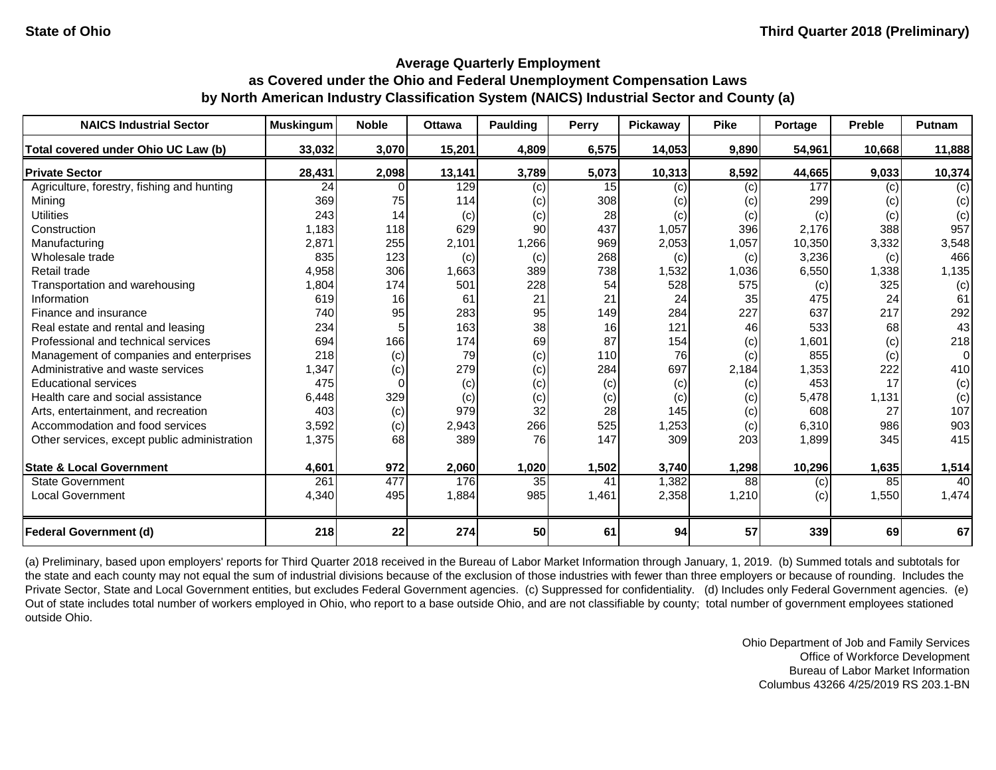| <b>NAICS Industrial Sector</b>               | <b>Muskingum</b> | <b>Noble</b> | <b>Ottawa</b> | <b>Paulding</b> | <b>Perry</b> | <b>Pickaway</b> | <b>Pike</b> | Portage | <b>Preble</b> | Putnam |
|----------------------------------------------|------------------|--------------|---------------|-----------------|--------------|-----------------|-------------|---------|---------------|--------|
| Total covered under Ohio UC Law (b)          | 33,032           | 3,070        | 15,201        | 4,809           | 6,575        | 14,053          | 9,890       | 54,961  | 10,668        | 11,888 |
| <b>Private Sector</b>                        | 28,431           | 2,098        | 13,141        | 3,789           | 5,073        | 10,313          | 8,592       | 44,665  | 9,033         | 10,374 |
| Agriculture, forestry, fishing and hunting   | 24               |              | 129           | (c)             | 15           | (c)             | (c)         | 177     | (c)           | (c)    |
| Mining                                       | 369              | 75           | 114           | (c)             | 308          | (c)             | (c)         | 299     | (c)           | (c)    |
| <b>Utilities</b>                             | 243              | 14           | (c)           | (c)             | 28           | (c)             | (c)         | (c)     | (c)           | (c)    |
| Construction                                 | 1,183            | 118          | 629           | 90              | 437          | 1,057           | 396         | 2,176   | 388           | 957    |
| Manufacturing                                | 2,871            | 255          | 2,101         | 1,266           | 969          | 2,053           | 1,057       | 10,350  | 3,332         | 3,548  |
| Wholesale trade                              | 835              | 123          | (c)           | (c)             | 268          | (c)             | (c)         | 3,236   | (c)           | 466    |
| Retail trade                                 | 4,958            | 306          | 1,663         | 389             | 738          | 1,532           | 1,036       | 6,550   | 1,338         | 1,135  |
| Transportation and warehousing               | 1,804            | 174          | 501           | 228             | 54           | 528             | 575         | (c)     | 325           | (c)    |
| Information                                  | 619              | 16           | 61            | 21              | 21           | 24              | 35          | 475     | 24            | 61     |
| Finance and insurance                        | 740              | 95           | 283           | 95              | 149          | 284             | 227         | 637     | 217           | 292    |
| Real estate and rental and leasing           | 234              |              | 163           | 38              | 16           | 121             | 46          | 533     | 68            | 43     |
| Professional and technical services          | 694              | 166          | 174           | 69              | 87           | 154             | (c)         | 1,601   | (c)           | 218    |
| Management of companies and enterprises      | 218              | (c)          | 79            | (c)             | 110          | 76              | (c)         | 855     | (c)           | 0      |
| Administrative and waste services            | 1,347            | (c)          | 279           | (c)             | 284          | 697             | 2,184       | 1,353   | 222           | 410    |
| <b>Educational services</b>                  | 475              |              | (c)           | (c)             | (c)          | (c)             | (c)         | 453     | 17            | (c)    |
| Health care and social assistance            | 6,448            | 329          | (c)           | (c)             | (c)          | (c)             | (c)         | 5,478   | 1,131         | (c)    |
| Arts, entertainment, and recreation          | 403              | (c)          | 979           | 32              | 28           | 145             | (c)         | 608     | 27            | 107    |
| Accommodation and food services              | 3,592            | (c)          | 2,943         | 266             | 525          | 1,253           | (c)         | 6,310   | 986           | 903    |
| Other services, except public administration | 1,375            | 68           | 389           | 76              | 147          | 309             | 203         | 1,899   | 345           | 415    |
| <b>State &amp; Local Government</b>          | 4,601            | 972          | 2,060         | 1,020           | 1,502        | 3,740           | 1,298       | 10,296  | 1,635         | 1,514  |
| <b>State Government</b>                      | 261              | 477          | 176           | 35              | 41           | 1,382           | 88          | (c)     | 85            | 40     |
| <b>Local Government</b>                      | 4,340            | 495          | 1,884         | 985             | 1,461        | 2,358           | 1,210       | (c)     | 1,550         | 1,474  |
| <b>Federal Government (d)</b>                | 218              | 22           | 274           | 50              | 61           | 94              | 57          | 339     | 69            | 67     |

(a) Preliminary, based upon employers' reports for Third Quarter 2018 received in the Bureau of Labor Market Information through January, 1, 2019. (b) Summed totals and subtotals for the state and each county may not equal the sum of industrial divisions because of the exclusion of those industries with fewer than three employers or because of rounding. Includes the Private Sector, State and Local Government entities, but excludes Federal Government agencies. (c) Suppressed for confidentiality. (d) Includes only Federal Government agencies. (e) Out of state includes total number of workers employed in Ohio, who report to a base outside Ohio, and are not classifiable by county; total number of government employees stationed outside Ohio.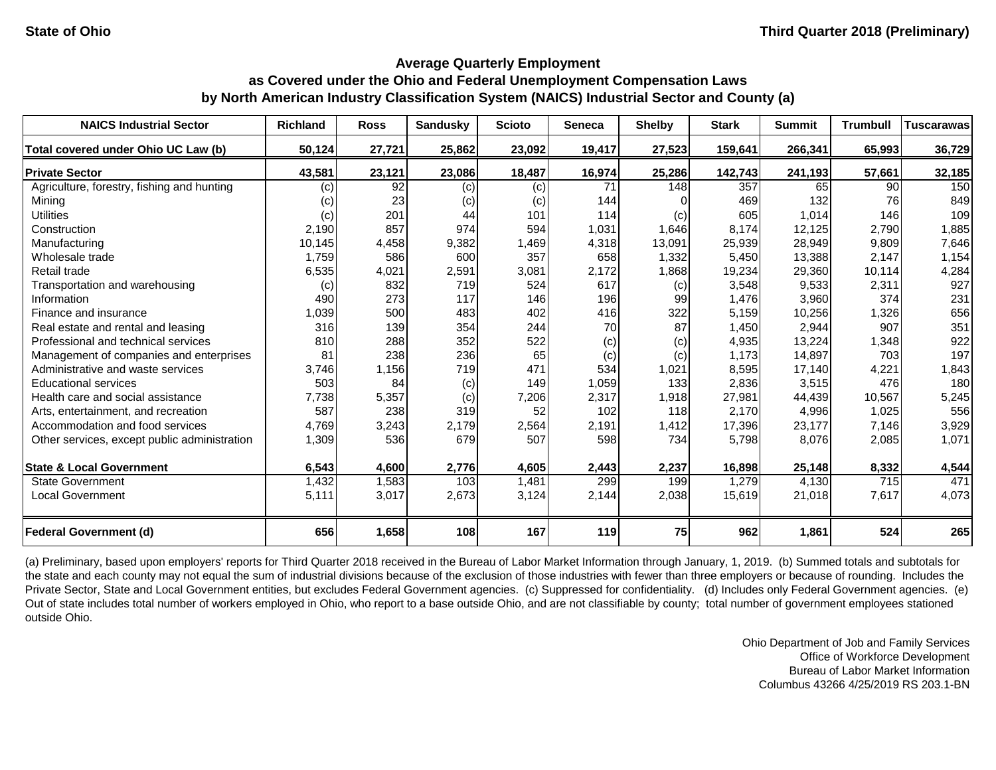#### **Average Quarterly Employment as Covered under the Ohio and Federal Unemployment Compensation Laws**

# **by North American Industry Classification System (NAICS) Industrial Sector and County (a)**

| <b>NAICS Industrial Sector</b>               | <b>Richland</b> | <b>Ross</b> | <b>Sandusky</b> | <b>Scioto</b> | <b>Seneca</b> | <b>Shelby</b> | <b>Stark</b> | <b>Summit</b> | <b>Trumbull</b> | <b>Tuscarawas</b> |
|----------------------------------------------|-----------------|-------------|-----------------|---------------|---------------|---------------|--------------|---------------|-----------------|-------------------|
| Total covered under Ohio UC Law (b)          | 50,124          | 27,721      | 25,862          | 23,092        | 19,417        | 27,523        | 159,641      | 266,341       | 65,993          | 36,729            |
| <b>Private Sector</b>                        | 43,581          | 23,121      | 23,086          | 18,487        | 16,974        | 25,286        | 142,743      | 241,193       | 57,661          | 32,185            |
| Agriculture, forestry, fishing and hunting   | (c)             | 92          | (c)             | (c)           | 71            | 148           | 357          | 65            | 90              | 150               |
| Mining                                       | (c)             | 23          | (c)             | (c)           | 144           |               | 469          | 132           | 76              | 849               |
| <b>Utilities</b>                             | (c)             | 201         | 44              | 101           | 114           | (c)           | 605          | 1,014         | 146             | 109               |
| Construction                                 | 2,190           | 857         | 974             | 594           | 1,031         | 1,646         | 8,174        | 12,125        | 2,790           | 1,885             |
| Manufacturing                                | 10,145          | 4,458       | 9,382           | 1,469         | 4,318         | 13,091        | 25,939       | 28,949        | 9,809           | 7,646             |
| Wholesale trade                              | 1,759           | 586         | 600             | 357           | 658           | 1,332         | 5,450        | 13,388        | 2,147           | 1,154             |
| Retail trade                                 | 6,535           | 4,021       | 2,591           | 3,081         | 2,172         | 1,868         | 19,234       | 29,360        | 10,114          | 4,284             |
| Transportation and warehousing               | (c)             | 832         | 719             | 524           | 617           | (c)           | 3,548        | 9,533         | 2,311           | 927               |
| Information                                  | 490             | 273         | 117             | 146           | 196           | 99            | 1,476        | 3,960         | 374             | 231               |
| Finance and insurance                        | 1,039           | 500         | 483             | 402           | 416           | 322           | 5,159        | 10,256        | 1,326           | 656               |
| Real estate and rental and leasing           | 316             | 139         | 354             | 244           | 70            | 87            | 1,450        | 2,944         | 907             | 351               |
| Professional and technical services          | 810             | 288         | 352             | 522           | (c)           | (c)           | 4,935        | 13,224        | 1,348           | 922               |
| Management of companies and enterprises      | 81              | 238         | 236             | 65            | (c)           | (c)           | 1,173        | 14,897        | 703             | 197               |
| Administrative and waste services            | 3,746           | 1,156       | 719             | 471           | 534           | 1,021         | 8,595        | 17,140        | 4,221           | 1,843             |
| <b>Educational services</b>                  | 503             | 84          | (c)             | 149           | 1,059         | 133           | 2,836        | 3,515         | 476             | 180               |
| Health care and social assistance            | 7,738           | 5,357       | (c)             | 7,206         | 2,317         | 1,918         | 27,981       | 44,439        | 10,567          | 5,245             |
| Arts, entertainment, and recreation          | 587             | 238         | 319             | 52            | 102           | 118           | 2,170        | 4,996         | 1,025           | 556               |
| Accommodation and food services              | 4,769           | 3,243       | 2,179           | 2,564         | 2,191         | 1,412         | 17,396       | 23,177        | 7,146           | 3,929             |
| Other services, except public administration | 1,309           | 536         | 679             | 507           | 598           | 734           | 5,798        | 8,076         | 2,085           | 1,071             |
| <b>State &amp; Local Government</b>          | 6,543           | 4,600       | 2,776           | 4,605         | 2,443         | 2,237         | 16,898       | 25,148        | 8,332           | 4,544             |
| <b>State Government</b>                      | 1,432           | 1,583       | 103             | 1,481         | 299           | 199           | 1,279        | 4,130         | 715             | 471               |
| <b>Local Government</b>                      | 5,111           | 3,017       | 2,673           | 3,124         | 2,144         | 2,038         | 15,619       | 21,018        | 7,617           | 4,073             |
| <b>Federal Government (d)</b>                | 656             | 1,658       | 108             | 167           | 119           | 75            | 962          | 1,861         | 524             | 265               |

(a) Preliminary, based upon employers' reports for Third Quarter 2018 received in the Bureau of Labor Market Information through January, 1, 2019. (b) Summed totals and subtotals for the state and each county may not equal the sum of industrial divisions because of the exclusion of those industries with fewer than three employers or because of rounding. Includes the Private Sector, State and Local Government entities, but excludes Federal Government agencies. (c) Suppressed for confidentiality. (d) Includes only Federal Government agencies. (e) Out of state includes total number of workers employed in Ohio, who report to a base outside Ohio, and are not classifiable by county; total number of government employees stationed outside Ohio.